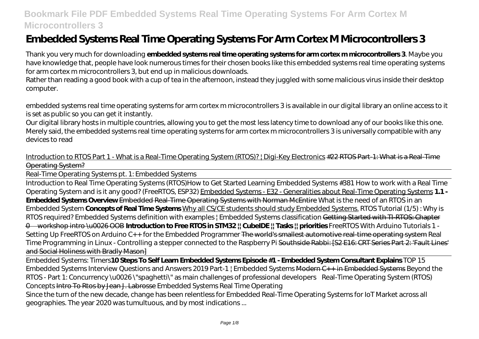# **Embedded Systems Real Time Operating Systems For Arm Cortex M Microcontrollers 3**

Thank you very much for downloading **embedded systems real time operating systems for arm cortex m microcontrollers 3**. Maybe you have knowledge that, people have look numerous times for their chosen books like this embedded systems real time operating systems for arm cortex m microcontrollers 3, but end up in malicious downloads.

Rather than reading a good book with a cup of tea in the afternoon, instead they juggled with some malicious virus inside their desktop computer.

embedded systems real time operating systems for arm cortex m microcontrollers 3 is available in our digital library an online access to it is set as public so you can get it instantly.

Our digital library hosts in multiple countries, allowing you to get the most less latency time to download any of our books like this one. Merely said, the embedded systems real time operating systems for arm cortex m microcontrollers 3 is universally compatible with any devices to read

Introduction to RTOS Part 1 - What is a Real-Time Operating System (RTOS)? ! Digi-Key Electronics #22 RTOS Part-1: What is a Real-Time Operating System?

Real-Time Operating Systems pt. 1: Embedded Systems

Introduction to Real Time Operating Systems (RTOS)*How to Get Started Learning Embedded Systems #381 How to work with a Real Time Operating System and is it any good? (FreeRTOS, ESP32)* Embedded Systems - E32 - Generalities about Real-Time Operating Systems **1.1 - Embedded Systems Overview** Embedded Real-Time Operating Systems with Norman McEntire *What is the need of an RTOS in an Embedded System* **Concepts of Real Time Systems** Why all CS/CE students should study Embedded Systems. *RTOS Tutorial (1/5) : Why is RTOS required?* Embedded Systems definition with examples | Embedded Systems classification Getting Started with TI-RTOS: Chapter 0—workshop intro \u0026 OOB **Introduction to Free RTOS in STM32 || CubeIDE || Tasks || priorities** FreeRTOS With Arduino Tutorials 1 - Setting Up FreeRTOS on Arduino *C++ for the Embedded Programmer* The world's smallest automotive real-time operating system *Real Time Programming in Linux - Controlling a stepper connected to the Raspberry Pi* Southside Rabbi: [S2 E16: CRT Series Part 2: 'Fault Lines' and Social Holiness with Bradly Mason]

Embedded Systems: Timers**10 Steps To Self Learn Embedded Systems Episode #1 - Embedded System Consultant Explains** *TOP 15 Embedded Systems Interview Questions and Answers 2019 Part-1 | Embedded Systems* Modern C++ in Embedded Systems Beyond the RTOS - Part 1: Concurrency \u0026 \"spaghetti\" as main challenges of professional developers *Real-Time Operating System (RTOS) Concepts* Intro To Rtos by Jean J. Labrosse Embedded Systems Real Time Operating

Since the turn of the new decade, change has been relentless for Embedded Real-Time Operating Systems for IoT Market across all geographies. The year 2020 was tumultuous, and by most indications ...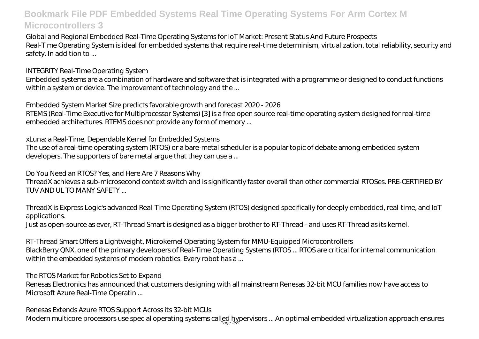Global and Regional Embedded Real-Time Operating Systems for IoT Market: Present Status And Future Prospects Real-Time Operating System is ideal for embedded systems that require real-time determinism, virtualization, total reliability, security and safety. In addition to ...

INTEGRITY Real-Time Operating System

Embedded systems are a combination of hardware and software that is integrated with a programme or designed to conduct functions within a system or device. The improvement of technology and the ...

Embedded System Market Size predicts favorable growth and forecast 2020 - 2026

RTEMS (Real-Time Executive for Multiprocessor Systems) [3] is a free open source real-time operating system designed for real-time embedded architectures. RTEMS does not provide any form of memory ...

xLuna: a Real-Time, Dependable Kernel for Embedded Systems

The use of a real-time operating system (RTOS) or a bare-metal scheduler is a popular topic of debate among embedded system developers. The supporters of bare metal argue that they can use a ...

Do You Need an RTOS? Yes, and Here Are 7 Reasons Why

ThreadX achieves a sub-microsecond context switch and is significantly faster overall than other commercial RTOSes. PRE-CERTIFIED BY TUV AND UL TO MANY SAFETY ...

ThreadX is Express Logic's advanced Real-Time Operating System (RTOS) designed specifically for deeply embedded, real-time, and IoT applications.

Just as open-source as ever, RT-Thread Smart is designed as a bigger brother to RT-Thread - and uses RT-Thread as its kernel.

RT-Thread Smart Offers a Lightweight, Microkernel Operating System for MMU-Equipped Microcontrollers BlackBerry QNX, one of the primary developers of Real-Time Operating Systems (RTOS ... RTOS are critical for internal communication within the embedded systems of modern robotics. Every robot has a...

The RTOS Market for Robotics Set to Expand

Renesas Electronics has announced that customers designing with all mainstream Renesas 32-bit MCU families now have access to Microsoft Azure Real-Time Operatin ...

Renesas Extends Azure RTOS Support Across its 32-bit MCUs

Modern multicore processors use special operating systems called hypervisors … An optimal embedded virtualization approach ensures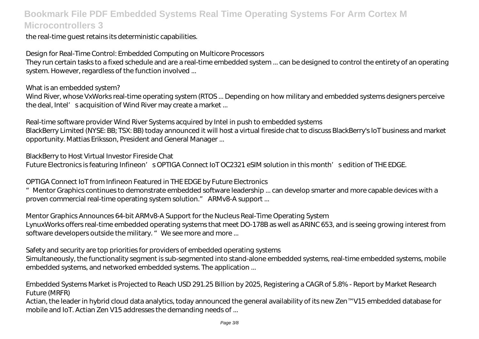the real-time guest retains its deterministic capabilities.

Design for Real-Time Control: Embedded Computing on Multicore Processors

They run certain tasks to a fixed schedule and are a real-time embedded system ... can be designed to control the entirety of an operating system. However, regardless of the function involved ...

What is an embedded system?

Wind River, whose VxWorks real-time operating system (RTOS ... Depending on how military and embedded systems designers perceive the deal, Intel' sacquisition of Wind River may create a market ...

Real-time software provider Wind River Systems acquired by Intel in push to embedded systems BlackBerry Limited (NYSE: BB; TSX: BB) today announced it will host a virtual fireside chat to discuss BlackBerry's IoT business and market opportunity. Mattias Eriksson, President and General Manager ...

BlackBerry to Host Virtual Investor Fireside Chat

Future Electronics is featuring Infineon' sOPTIGA Connect IoT OC2321 eSIM solution in this month' sedition of THE EDGE.

OPTIGA Connect IoT from Infineon Featured in THE EDGE by Future Electronics

"Mentor Graphics continues to demonstrate embedded software leadership ... can develop smarter and more capable devices with a proven commercial real-time operating system solution." ARMv8-A support ...

Mentor Graphics Announces 64-bit ARMv8-A Support for the Nucleus Real-Time Operating System LynuxWorks offers real-time embedded operating systems that meet DO-178B as well as ARINC 653, and is seeing growing interest from software developers outside the military. " We see more and more ...

Safety and security are top priorities for providers of embedded operating systems

Simultaneously, the functionality segment is sub-segmented into stand-alone embedded systems, real-time embedded systems, mobile embedded systems, and networked embedded systems. The application ...

Embedded Systems Market is Projected to Reach USD 291.25 Billion by 2025, Registering a CAGR of 5.8% - Report by Market Research Future (MRFR)

Actian, the leader in hybrid cloud data analytics, today announced the general availability of its new Zen™ V15 embedded database for mobile and IoT. Actian Zen V15 addresses the demanding needs of ...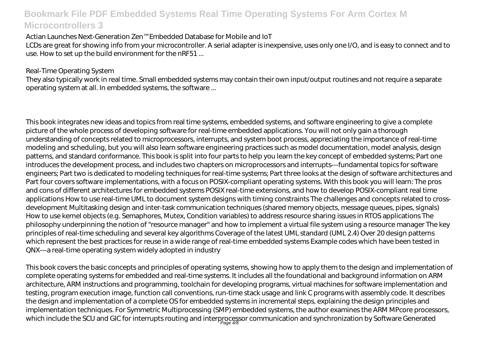Actian Launches Next-Generation Zen™ Embedded Database for Mobile and IoT

LCDs are great for showing info from your microcontroller. A serial adapter is inexpensive, uses only one I/O, and is easy to connect and to use. How to set up the build environment for the nRF51 ...

#### Real-Time Operating System

They also typically work in real time. Small embedded systems may contain their own input/output routines and not require a separate operating system at all. In embedded systems, the software ...

This book integrates new ideas and topics from real time systems, embedded systems, and software engineering to give a complete picture of the whole process of developing software for real-time embedded applications. You will not only gain a thorough understanding of concepts related to microprocessors, interrupts, and system boot process, appreciating the importance of real-time modeling and scheduling, but you will also learn software engineering practices such as model documentation, model analysis, design patterns, and standard conformance. This book is split into four parts to help you learn the key concept of embedded systems; Part one introduces the development process, and includes two chapters on microprocessors and interrupts---fundamental topics for software engineers; Part two is dedicated to modeling techniques for real-time systems; Part three looks at the design of software architectures and Part four covers software implementations, with a focus on POSIX-compliant operating systems. With this book you will learn: The pros and cons of different architectures for embedded systems POSIX real-time extensions, and how to develop POSIX-compliant real time applications How to use real-time UML to document system designs with timing constraints The challenges and concepts related to crossdevelopment Multitasking design and inter-task communication techniques (shared memory objects, message queues, pipes, signals) How to use kernel objects (e.g. Semaphores, Mutex, Condition variables) to address resource sharing issues in RTOS applications The philosophy underpinning the notion of "resource manager" and how to implement a virtual file system using a resource manager The key principles of real-time scheduling and several key algorithms Coverage of the latest UML standard (UML 2.4) Over 20 design patterns which represent the best practices for reuse in a wide range of real-time embedded systems Example codes which have been tested in QNX---a real-time operating system widely adopted in industry

This book covers the basic concepts and principles of operating systems, showing how to apply them to the design and implementation of complete operating systems for embedded and real-time systems. It includes all the foundational and background information on ARM architecture, ARM instructions and programming, toolchain for developing programs, virtual machines for software implementation and testing, program execution image, function call conventions, run-time stack usage and link C programs with assembly code. It describes the design and implementation of a complete OS for embedded systems in incremental steps, explaining the design principles and implementation techniques. For Symmetric Multiprocessing (SMP) embedded systems, the author examines the ARM MPcore processors, which include the SCU and GIC for interrupts routing and interprocessor communication and synchronization by Software Generated<br>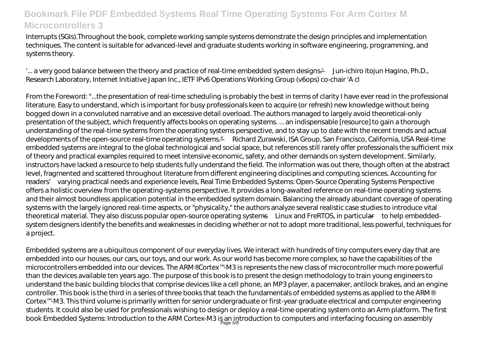Interrupts (SGIs).Throughout the book, complete working sample systems demonstrate the design principles and implementation techniques. The content is suitable for advanced-level and graduate students working in software engineering, programming, and systems theory.

'... a very good balance between the theory and practice of real-time embedded system designs.' —Jun-ichiro itojun Hagino, Ph.D., Research Laboratory, Internet Initiative Japan Inc., IETF IPv6 Operations Working Group (v6ops) co-chair 'A cl

From the Foreword: "...the presentation of real-time scheduling is probably the best in terms of clarity I have ever read in the professional literature. Easy to understand, which is important for busy professionals keen to acquire (or refresh) new knowledge without being bogged down in a convoluted narrative and an excessive detail overload. The authors managed to largely avoid theoretical-only presentation of the subject, which frequently affects books on operating systems. ... an indispensable [resource] to gain a thorough understanding of the real-time systems from the operating systems perspective, and to stay up to date with the recent trends and actual developments of the open-source real-time operating systems." —Richard Zurawski, ISA Group, San Francisco, California, USA Real-time embedded systems are integral to the global technological and social space, but references still rarely offer professionals the sufficient mix of theory and practical examples required to meet intensive economic, safety, and other demands on system development. Similarly, instructors have lacked a resource to help students fully understand the field. The information was out there, though often at the abstract level, fragmented and scattered throughout literature from different engineering disciplines and computing sciences. Accounting for readers' varying practical needs and experience levels, Real Time Embedded Systems: Open-Source Operating Systems Perspective offers a holistic overview from the operating-systems perspective. It provides a long-awaited reference on real-time operating systems and their almost boundless application potential in the embedded system domain. Balancing the already abundant coverage of operating systems with the largely ignored real-time aspects, or "physicality," the authors analyze several realistic case studies to introduce vital theoretical material. They also discuss popular open-source operating systems—Linux and FreRTOS, in particular—to help embeddedsystem designers identify the benefits and weaknesses in deciding whether or not to adopt more traditional, less powerful, techniques for a project.

Embedded systems are a ubiquitous component of our everyday lives. We interact with hundreds of tiny computers every day that are embedded into our houses, our cars, our toys, and our work. As our world has become more complex, so have the capabilities of the microcontrollers embedded into our devices. The ARM® Cortex™-M3 is represents the new class of microcontroller much more powerful than the devices available ten years ago. The purpose of this book is to present the design methodology to train young engineers to understand the basic building blocks that comprise devices like a cell phone, an MP3 player, a pacemaker, antilock brakes, and an engine controller. This book is the third in a series of three books that teach the fundamentals of embedded systems as applied to the ARM® Cortex™-M3. This third volume is primarily written for senior undergraduate or first-year graduate electrical and computer engineering students. It could also be used for professionals wishing to design or deploy a real-time operating system onto an Arm platform. The first book Embedded Systems: Introduction to the ARM Cortex-M3 is an introduction to computers and interfacing focusing on assembly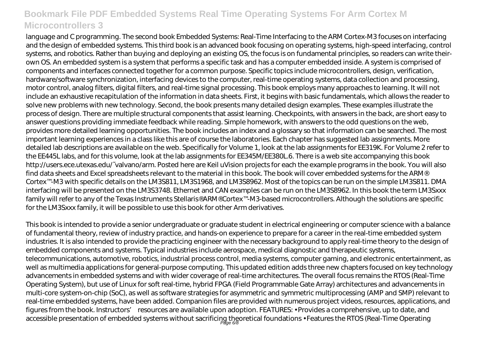language and C programming. The second book Embedded Systems: Real-Time Interfacing to the ARM Cortex-M3 focuses on interfacing and the design of embedded systems. This third book is an advanced book focusing on operating systems, high-speed interfacing, control systems, and robotics. Rather than buying and deploying an existing OS, the focus is on fundamental principles, so readers can write theirown OS. An embedded system is a system that performs a specific task and has a computer embedded inside. A system is comprised of components and interfaces connected together for a common purpose. Specific topics include microcontrollers, design, verification, hardware/software synchronization, interfacing devices to the computer, real-time operating systems, data collection and processing, motor control, analog filters, digital filters, and real-time signal processing. This book employs many approaches to learning. It will not include an exhaustive recapitulation of the information in data sheets. First, it begins with basic fundamentals, which allows the reader to solve new problems with new technology. Second, the book presents many detailed design examples. These examples illustrate the process of design. There are multiple structural components that assist learning. Checkpoints, with answers in the back, are short easy to answer questions providing immediate feedback while reading. Simple homework, with answers to the odd questions on the web, provides more detailed learning opportunities. The book includes an index and a glossary so that information can be searched. The most important learning experiences in a class like this are of course the laboratories. Each chapter has suggested lab assignments. More detailed lab descriptions are available on the web. Specifically for Volume 1, look at the lab assignments for EE319K. For Volume 2 refer to the EE445L labs, and for this volume, look at the lab assignments for EE345M/EE380L.6. There is a web site accompanying this book http://users.ece.utexas.edu/~valvano/arm. Posted here are Keil uVision projects for each the example programs in the book. You will also find data sheets and Excel spreadsheets relevant to the material in this book. The book will cover embedded systems for the ARM® Cortex™-M3 with specific details on the LM3S811, LM3S1968, and LM3S8962. Most of the topics can be run on the simple LM3S811. DMA interfacing will be presented on the LM3S3748. Ethernet and CAN examples can be run on the LM3S8962. In this book the term LM3Sxxx family will refer to any of the Texas Instruments Stellaris® ARM® Cortex™-M3-based microcontrollers. Although the solutions are specific for the LM3Sxxx family, it will be possible to use this book for other Arm derivatives.

This book is intended to provide a senior undergraduate or graduate student in electrical engineering or computer science with a balance of fundamental theory, review of industry practice, and hands-on experience to prepare for a career in the real-time embedded system industries. It is also intended to provide the practicing engineer with the necessary background to apply real-time theory to the design of embedded components and systems. Typical industries include aerospace, medical diagnostic and therapeutic systems, telecommunications, automotive, robotics, industrial process control, media systems, computer gaming, and electronic entertainment, as well as multimedia applications for general-purpose computing. This updated edition adds three new chapters focused on key technology advancements in embedded systems and with wider coverage of real-time architectures. The overall focus remains the RTOS (Real-Time Operating System), but use of Linux for soft real-time, hybrid FPGA (Field Programmable Gate Array) architectures and advancements in multi-core system-on-chip (SoC), as well as software strategies for asymmetric and symmetric multiprocessing (AMP and SMP) relevant to real-time embedded systems, have been added. Companion files are provided with numerous project videos, resources, applications, and figures from the book. Instructors' resources are available upon adoption. FEATURES: • Provides a comprehensive, up to date, and accessible presentation of embedded systems without sacrificing theoretical foundations • Features the RTOS (Real-Time Operating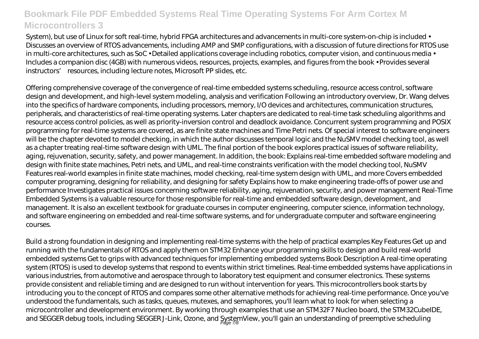System), but use of Linux for soft real-time, hybrid FPGA architectures and advancements in multi-core system-on-chip is included • Discusses an overview of RTOS advancements, including AMP and SMP configurations, with a discussion of future directions for RTOS use in multi-core architectures, such as SoC • Detailed applications coverage including robotics, computer vision, and continuous media • Includes a companion disc (4GB) with numerous videos, resources, projects, examples, and figures from the book • Provides several instructors' resources, including lecture notes, Microsoft PP slides, etc.

Offering comprehensive coverage of the convergence of real-time embedded systems scheduling, resource access control, software design and development, and high-level system modeling, analysis and verification Following an introductory overview, Dr. Wang delves into the specifics of hardware components, including processors, memory, I/O devices and architectures, communication structures, peripherals, and characteristics of real-time operating systems. Later chapters are dedicated to real-time task scheduling algorithms and resource access control policies, as well as priority-inversion control and deadlock avoidance. Concurrent system programming and POSIX programming for real-time systems are covered, as are finite state machines and Time Petri nets. Of special interest to software engineers will be the chapter devoted to model checking, in which the author discusses temporal logic and the NuSMV model checking tool, as well as a chapter treating real-time software design with UML. The final portion of the book explores practical issues of software reliability, aging, rejuvenation, security, safety, and power management. In addition, the book: Explains real-time embedded software modeling and design with finite state machines, Petri nets, and UML, and real-time constraints verification with the model checking tool, NuSMV Features real-world examples in finite state machines, model checking, real-time system design with UML, and more Covers embedded computer programing, designing for reliability, and designing for safety Explains how to make engineering trade-offs of power use and performance Investigates practical issues concerning software reliability, aging, rejuvenation, security, and power management Real-Time Embedded Systems is a valuable resource for those responsible for real-time and embedded software design, development, and management. It is also an excellent textbook for graduate courses in computer engineering, computer science, information technology, and software engineering on embedded and real-time software systems, and for undergraduate computer and software engineering courses.

Build a strong foundation in designing and implementing real-time systems with the help of practical examples Key Features Get up and running with the fundamentals of RTOS and apply them on STM32 Enhance your programming skills to design and build real-world embedded systems Get to grips with advanced techniques for implementing embedded systems Book Description A real-time operating system (RTOS) is used to develop systems that respond to events within strict timelines. Real-time embedded systems have applications in various industries, from automotive and aerospace through to laboratory test equipment and consumer electronics. These systems provide consistent and reliable timing and are designed to run without intervention for years. This microcontrollers book starts by introducing you to the concept of RTOS and compares some other alternative methods for achieving real-time performance. Once you've understood the fundamentals, such as tasks, queues, mutexes, and semaphores, you'll learn what to look for when selecting a microcontroller and development environment. By working through examples that use an STM32F7 Nucleo board, the STM32CubeIDE, and SEGGER debug tools, including SEGGER J-Link, Ozone, and SystemView, you'll gain an understanding of preemptive scheduling